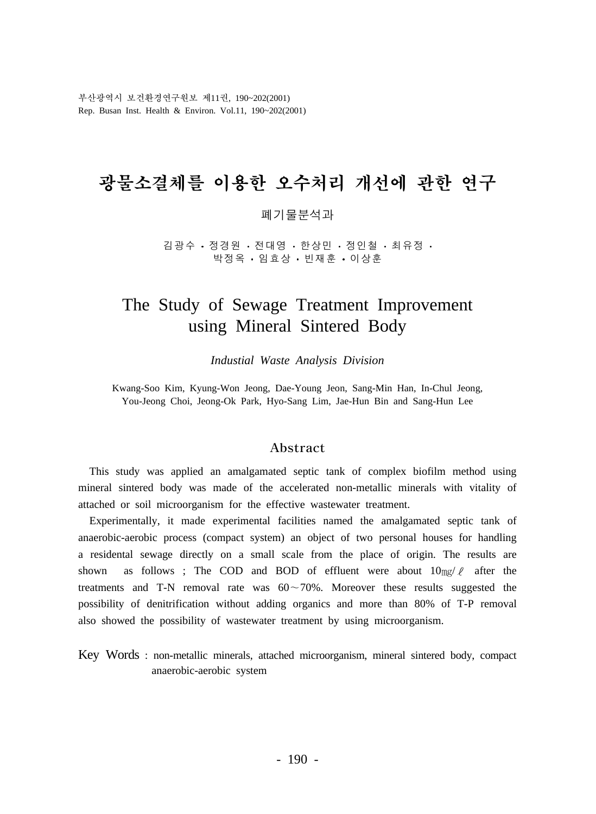부산광역시 보건환경연구원보 제11권, 190~202(2001) Rep. Busan Inst. Health & Environ. Vol.11, 190~202(2001)

# 광물소결체를 이용한 오수처리 개선에 관한 연구

#### 폐기물분석과

김광수 • 정경원 • 전대영 • 한상민 • 정인철 • 최유정 박정옥 · 임효상 · 빈재훈 · 이상훈

# The Study of Sewage Treatment Improvement using Mineral Sintered Body

*Industial Waste Analysis Division*

Kwang-Soo Kim, Kyung-Won Jeong, Dae-Young Jeon, Sang-Min Han, In-Chul Jeong, You-Jeong Choi, Jeong-Ok Park, Hyo-Sang Lim, Jae-Hun Bin and Sang-Hun Lee

#### Abstract

 This study was applied an amalgamated septic tank of complex biofilm method using mineral sintered body was made of the accelerated non-metallic minerals with vitality of attached or soil microorganism for the effective wastewater treatment.

 Experimentally, it made experimental facilities named the amalgamated septic tank of anaerobic-aerobic process (compact system) an object of two personal houses for handling a residental sewage directly on a small scale from the place of origin. The results are shown as follows ; The COD and BOD of effluent were about  $10 \text{mg}/l$  after the treatments and T-N removal rate was  $60 \sim 70\%$ . Moreover these results suggested the possibility of denitrification without adding organics and more than 80% of T-P removal also showed the possibility of wastewater treatment by using microorganism.

Key Words : non-metallic minerals, attached microorganism, mineral sintered body, compact anaerobic-aerobic system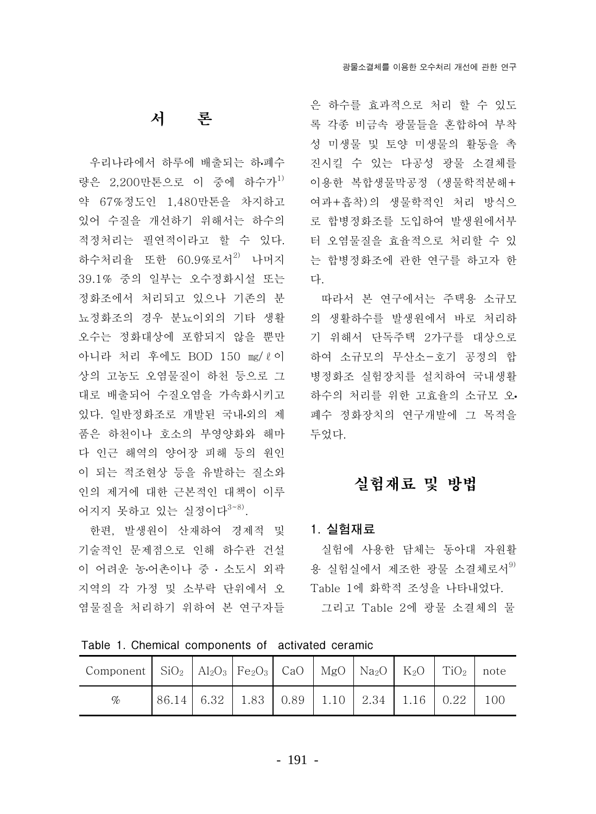### 서 론

우리나라에서 하루에 배출되는 하폐수 량은 2.200만톤으로 이 중에 하수가<sup>1)</sup> 약 67%정도인 1.480만톤을 차지하고 있어 수질을 개선하기 위해서는 하수의 적정처리는 필연적이라고 할 수 있다. 하수처리율 또한 60.9%로서<sup>2)</sup> 나머지 39.1% 중의 일부는 오수정화시설 또는 정화조에서 처리되고 있으나 기존의 분 뇨정화조의 경우 분뇨이외의 기타 생활 오수는 정화대상에 포함되지 않을 뿐만 아니라 처리 후에도 BOD 150 mg/ℓ이 상의 고농도 오염물질이 하천 등으로 그 대로 배출되어 수질오염을 가속화시키고 있다. 일반정화조로 개발된 국내·외의 제 품은 하천이나 호소의 부영양화와 해마 다 인근 해역의 양어장 피해 등의 워인 이 되는 적조현상 등을 유발하는 질소와 인의 제거에 대한 근본적인 대책이 이루 어지지 못하고 있는 실정이다<sup>3~8)</sup>.

한편, 발생원이 산재하여 경제적 및 기술적인 문제점으로 인해 하수관 건설 이 어려운 농·어촌이나 중 · 소도시 외곽 · 용 실험실에서 제조한 광물 소결체로서<sup>9)</sup> 지역의 각 가정 및 소부락 단위에서 오 염물질을 처리하기 위하여 본 연구자들

은 하수를 효과적으로 처리 할 수 있도 록 각종 비금속 광물들을 혼합하여 부착 성 미생물 및 토양 미생물의 활동을 촉 진시킬 수 있는 다공성 광물 소결체를 이용한 복합생물막공정 (생물학적분해+ 여과+흠착)의 생물학적인 처리 방식으 로 합병정화조를 도입하여 발생원에서부 터 오염물질을 효율적으로 처리할 수 있 는 합병정화조에 관한 연구를 하고자 한 다.

따라서 본 연구에서는 주택용 소규모 의 생활하수를 발생원에서 바로 처리하 기 위해서 단독주택 2가구를 대상으로 하여 소규모의 무산소-호기 공정의 함 병정화조 실험장치를 설치하여 국내생활 하수의 처리를 위한 고효율의 소규모 오. 폐수 정화장치의 연구개발에 그 목적을 두었다.

### 실험재료 및 방법

#### 1. 실험재료

실험에 사용한 담체는 동아대 자원활 Table 1에 화학적 조성을 나타내었다. 그리고 Table 2에 광물 소결체의 물

Table 1. Chemical components of activated ceramic

| Component   $\text{SiO}_2$   $\text{Al}_2\text{O}_3$   $\text{Fe}_2\text{O}_3$   CaO   MgO   Na <sub>2</sub> O   K <sub>2</sub> O   TiO <sub>2</sub>   note |  |                                          |  |  |     |
|-------------------------------------------------------------------------------------------------------------------------------------------------------------|--|------------------------------------------|--|--|-----|
| %                                                                                                                                                           |  | 86.14 6.32 1.83 0.89 1.10 2.34 1.16 0.22 |  |  | 100 |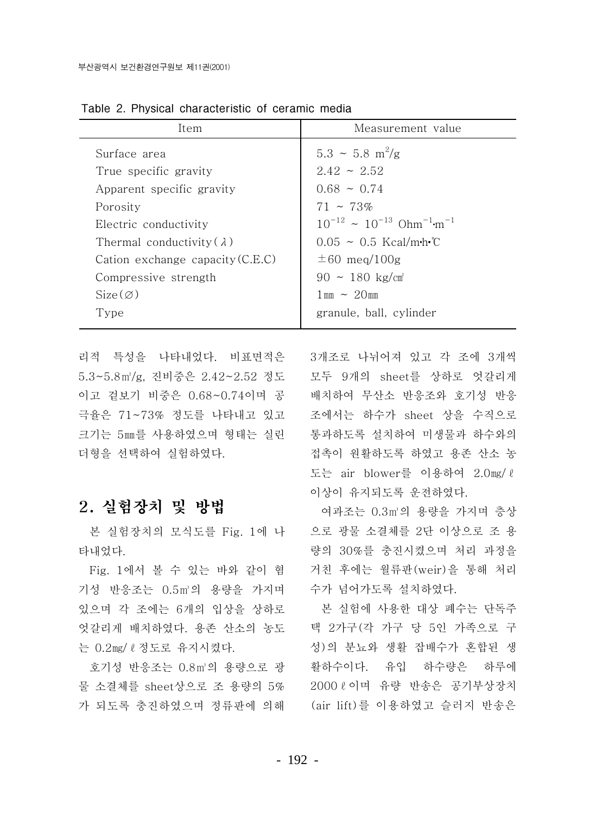| Item                               | Measurement value                                             |  |  |
|------------------------------------|---------------------------------------------------------------|--|--|
| Surface area                       | $5.3 \sim 5.8 \text{ m}^2/\text{g}$                           |  |  |
| True specific gravity              | $2.42 \sim 2.52$                                              |  |  |
| Apparent specific gravity          | $0.68 \sim 0.74$                                              |  |  |
| Porosity                           | $71 - 73\%$                                                   |  |  |
| Electric conductivity              | $10^{-12} \approx 10^{-13}$ Ohm <sup>-1</sup> m <sup>-1</sup> |  |  |
| Thermal conductivity $(\lambda)$   | $0.05 \sim 0.5$ Kcal/m·h·°C                                   |  |  |
| Cation exchange capacity $(C.E.C)$ | $\pm 60$ meg/100g                                             |  |  |
| Compressive strength               | $90 \sim 180 \text{ kg/cm}^3$                                 |  |  |
| $Size(\emptyset)$                  | $1 \,\mathrm{mm} \sim 20 \,\mathrm{mm}$                       |  |  |
| Type                               | granule, ball, cylinder                                       |  |  |
|                                    |                                                               |  |  |

Table 2. Physical characteristic of ceramic media

리적 특성을 나타내었다. 비표면적은 5.3~5.8㎡/g, 진비중은 2.42~2.52 정도 이고 겉보기 비중은 0.68~0.74이며 공 극율은 71~73% 정도를 나타내고 있고 크기는 5㎜를 사용하였으며 형태는 실린 더형을 선택하여 실험하였다.

### 2. 실험장치 및 방법

본 실험장치의 모식도를 Fig. 1에 나 타내었다.

Fig. 1에서 볼 수 있는 바와 같이 혐 기성 반응조는 0.5㎡의 용량을 가지며 있으며 각 조에는 6개의 입상을 상하로 엇갈리게 배치하였다. 용존 산소의 농도 는 0.2mg/ l 정도로 유지시켰다.

호기성 반응조는 0.8m3의 용량으로 광 물 소결체를 sheet상으로 조 용량의 5% 가 되도록 충진하였으며 정류판에 의해

3개조로 나뉘어져 있고 각 조에 3개씩 모두 9개의 sheet를 상하로 엇갈리게 배치하여 무산소 반응조와 호기성 반응 조에서는 하수가 sheet 상을 수직으로 통과하도록 설치하여 미생물과 하수와의 접촉이 원활하도록 하였고 용존 산소 농 도는 air blower를 이용하여 2.0mg/ l 이상이 유지되도록 운전하였다.

여과조는 0.3m3의 용량을 가지며 층상 으로 광물 소결체를 2단 이상으로 조 용 량의 30%를 충진시켰으며 처리 과정을 거친 후에는 월류판(weir)을 통해 처리 수가 넘어가도록 설치하였다.

본 실험에 사용한 대상 폐수는 단독주 택 2가구(각 가구 당 5인 가족으로 구 성)의 분뇨와 생활 잡배수가 혼합된 생 활하수이다. 유입 하수량은 하루에 2000 ℓ 이며 유량 반송은 공기부상장치 (air lift)를 이용하였고 슬러지 반송은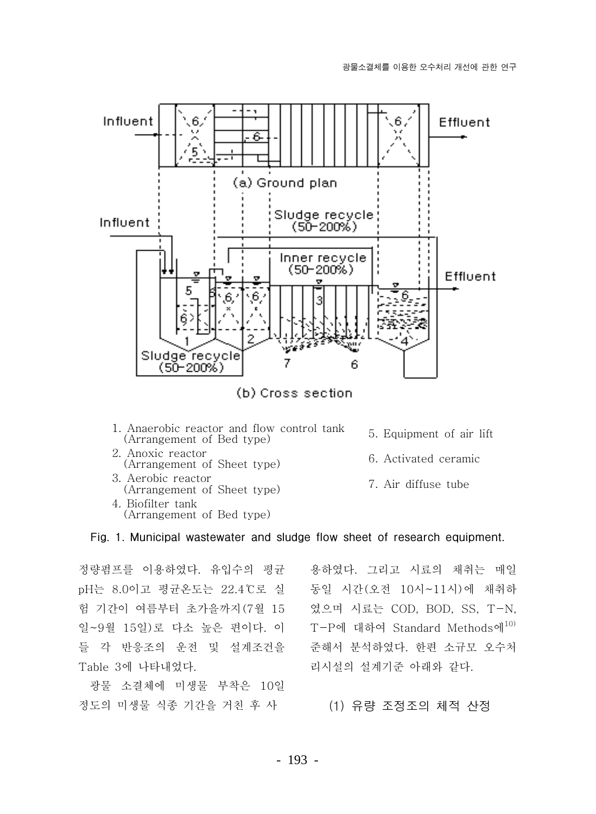

- 1. Anaerobic reactor and flow control tank (Arrangement of Bed type) 2. Anoxic reactor
- (Arrangement of Sheet type)
- 3. Aerobic reactor (Arrangement of Sheet type) 4. Biofilter tank (Arrangement of Bed type)
- 5. Equipment of air lift
- 6. Activated ceramic
- 7. Air diffuse tube

#### Fig. 1. Municipal wastewater and sludge flow sheet of research equipment.

정량펌프를 이용하였다. 유입수의 평균 pH는 8.0이고 평균온도는 22.4℃로 실 험 기간이 여름부터 초가을까지(7월 15 일~9월 15일)로 다소 높은 편이다. 이 들 각 반응조의 운전 및 설계조건을 Table 3에 나타내었다.

광물 소결체에 미생물 부착은 10일 정도의 미생물 식종 기간을 거친 후 사

용하였다. 그리고 시료의 채취는 매일 동일 시간(오전 10시~11시)에 채취하 였으며 시료는 COD, BOD, SS, T-N, T-P에 대하여 Standard Methods에<sup>10)</sup> 준해서 분석하였다. 한편 소규모 오수처 리시설의 설계기준 아래와 같다.

#### (1) 유량 조정조의 체적 산정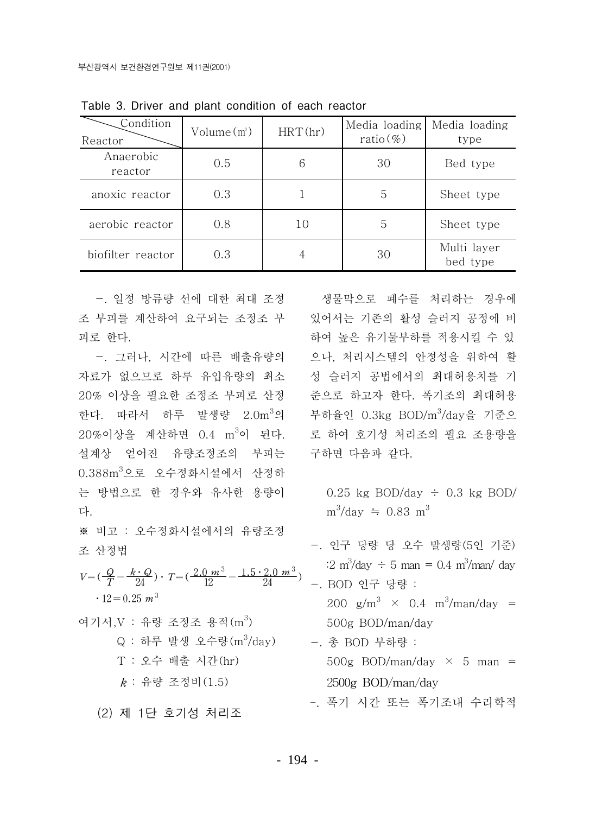| Condition<br>Reactor | $Volume(m^3)$ | HRT(hr) | Media loading<br>ratio $(\%)$ | Media loading<br>type   |
|----------------------|---------------|---------|-------------------------------|-------------------------|
| Anaerobic<br>reactor | 0.5           | 6       | 30                            | Bed type                |
| anoxic reactor       | 0.3           |         | 5                             | Sheet type              |
| aerobic reactor      | 0.8           | 10      | 5                             | Sheet type              |
| biofilter reactor    | 0.3           | 4       | 30                            | Multi layer<br>bed type |

Table 3. Driver and plant condition of each reactor

조 부피를 계산하여 요구되는 조정조 부 있어서는 기존의 활성 슬러지 공정에 비 피로 하다.

-. 그러나, 시간에 따른 배출유량의 자료가 없으므로 하루 유입유량의 최소 <> 성 슬러지 공법에서의 최대허용치를 기 20% 이상을 필요한 조정조 부피로 산정 한다. 따라서 하루 발생량 2.0m3의 부하율인 0.3kg BOD/m3/day을 기준으 20%이상을 계산하면 0.4 m3이 된다. 설계상 얻어진 유량조정조의 부피는  $0.388$ m $^{3}$ 으로 오수정화시설에서 산정하 는 방법으로 한 경우와 유사한 용량이 다.

※ 비고 : 오수정화시설에서의 유량조정 조 산정법

 $V{=}(\frac{Q}{T}-\frac{k\cdot Q}{24})\cdot\, T{=}(\frac{2.0\,\,m^3}{12}-\frac{1.5\cdot 2.0\,\,m^3}{24})$  $\cdot$  12 = 0.25 m<sup>3</sup>

여기서 V : 유량 조정조 용적 $(m^3)$ Q : 하루 발생 오수량 (m<sup>3</sup>/day) - 총 BOD 부하량 : T : 오수 배출 시간(hr)  $k$  : 유량 조정비 $(1.5)$ 

(2) 제 1단 호기성 처리조

-. 일정 방류량 선에 대한 최대 조정 생물막으로 폐수를 처리하는 경우에 하여 높은 유기물부하를 적용시킬 수 있 으나. 처리시스템의 안정성을 위하여 활 준으로 하고자 한다. 폭기조의 최대허용 로 하여 호기성 처리조의 필요 조용량을 구하면 다음과 같다.

> 0.25 kg BOD/day  $\div$  0.3 kg BOD/  $m^3$ /day  $\approx 0.83$  m<sup>3</sup>

- -. 인구 당량 당 오수 발생량(5인 기준) :2 m<sup>3</sup>/day ÷ 5 man = 0.4 m<sup>3</sup>/man/ day
- -. BOD 인구 당량 : 200  $\varrho/m^3 \times 0.4 \frac{m^3}{m}$ an/day = 500g BOD/man/day
- 500g BOD/man/day  $\times$  5 man =  $2500g$  BOD/man/dav

- 폭기 시간 또는 폭기조내 수리학적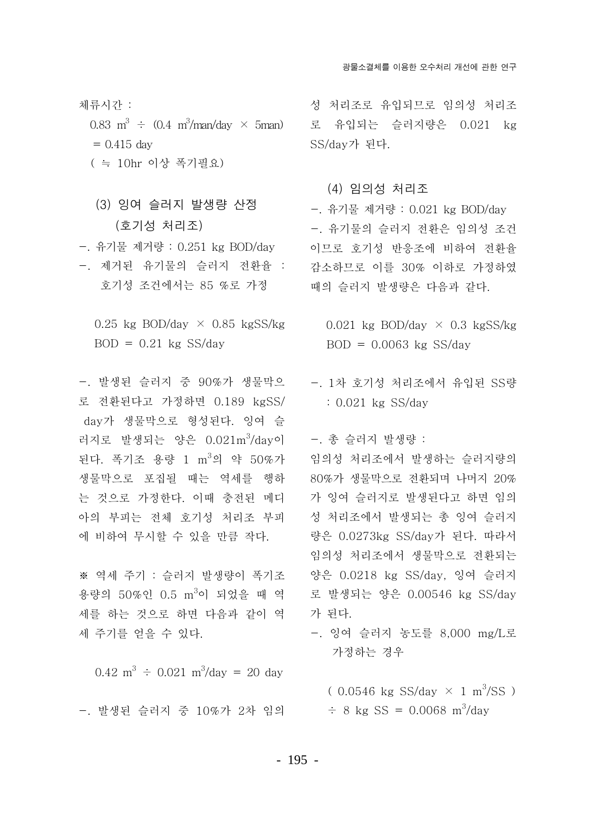- 체류시가 :  $= 0.415$  day ( = 10hr 이상 폭기필요)
	- (3) 잉여 슬러지 발생량 산정 (호기성 처리조)
- -. 유기물 제거량 : 0.251 kg BOD/dav
- -. 제거된 유기물의 슬러지 전환율 :-호기성 조건에서는 85 %로 가정

0.25 kg BOD/day  $\times$  0.85 kgSS/kg  $BOD = 0.21$  kg SS/day

-. 발생된 슬러지 중 90%가 생물막으 로 전환된다고 가정하면 0.189 kgSS/ day가 생물막으로 형성된다. 잉여 슬 러지로 발생되는 양은 0.021m3/day이 - 총 슬러지 발생량 : 된다. 폭기조 용량 1 m<sup>3</sup>의 약 50%가 생물막으로 포집될 때는 역세를 행하 는 것으로 가정한다. 이때 충전된 메디 아의 부피는 전체 호기성 처리조 부피 에 비하여 무시할 수 있을 만큼 작다.

※ 역세 주기 : 슬러지 발생량이 폭기조 용량의 50%인 0.5 m<sup>3</sup>이 되었을 때 역 세를 하는 것으로 하면 다음과 같이 역 세 주기를 얻을 수 있다.

 $0.42 \text{ m}^3 \div 0.021 \text{ m}^3/\text{day} = 20 \text{ day}$ 

-. 발생된 슬러지 중 10%가 2차 임의 = - 8 kg SS = 0.0068 m<sup>3</sup>/dav

성 처리조로 유입되므로 임의성 처리조  $0.83 \text{ m}^3$  ÷  $(0.4 \text{ m}^3/\text{man}/\text{day} \times 5\text{man})$  로 유입되는 슬러지량은  $0.021 \text{ kg}$ SS/day가 된다.

#### (4) 임의성 처리조

-. 유기물 제거량 : 0.021 kg BOD/day -. 유기물의 슬러지 전환은 임의성 조건 이므로 호기성 반응조에 비하여 전환율 감소하므로 이를 30% 이하로 가정하였 때의 슬러지 발생량은 다음과 같다.

- 0.021 kg BOD/day  $\times$  0.3 kgSS/kg  $BOD = 0.0063$  kg SS/day
- -. 1차 호기성 처리조에서 유입된 SS량  $: 0.021$  kg SS/day

임의성 처리조에서 발생하는 슬러지량의 80%가 생물막으로 전환되며 나머지 20% 가 잉여 슬러지로 발생된다고 하면 임의 성 처리조에서 발생되는 총 잉여 슬러지 량은 0.0273kg SS/day가 된다. 따라서 임의성 처리조에서 생물막으로 전환되는 양은 0.0218 kg SS/day, 잉여 슬러지 로 발생되는 양은 0.00546 kg SS/day 가 된다.

-. 잉여 슬러지 농도를 8,000 mg/L로 가정하는 경우

 $(0.0546 \text{ kg SS/day} \times 1 \text{ m}^3/\text{SS})$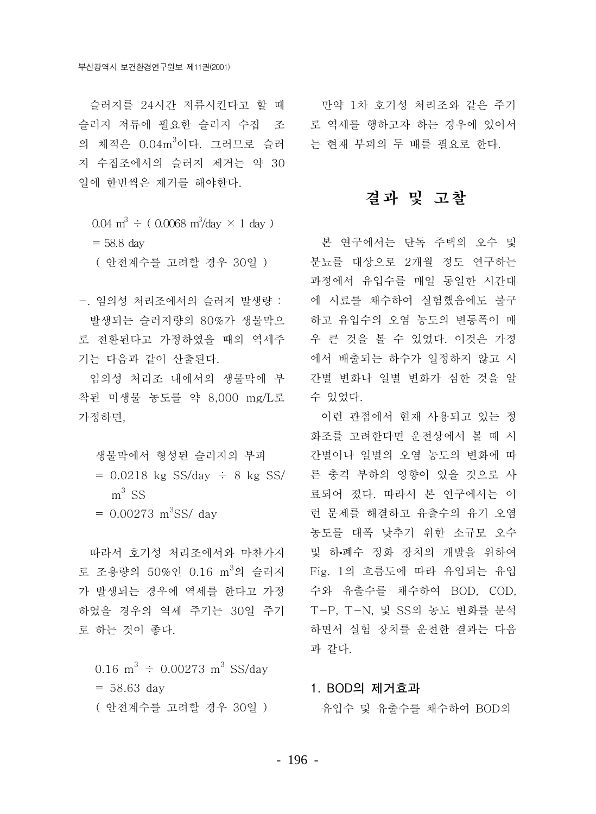슬러지 저류에 필요한 슬러지 수집 조 도 역세를 행하고자 하는 경우에 있어서 의 체적은 0.04m3이다. 그러므로 슬러 - 는 현재 부피의 두 배를 필요로 한다. 지 수집조에서의 슬러지 제거는 약 30 일에 한번씩은 제거를 해야한다.

 $0.04 \text{ m}^3 \div (0.0068 \text{ m}^3/\text{day} \times 1 \text{ day})$  $= 58.8$  day ( 안전계수를 고려할 경우 30일 )

-. 임의성 처리조에서의 슬러지 발생량 : 발생되는 슬러지량의 80%가 생물막으 로 전환된다고 가정하였을 때의 역세주 기는 다음과 같이 산출된다.

임의성 처리조 내에서의 생물막에 부 착된 미생물 농도를 약 8.000 mg/L로 가정하면.

생물막에서 형성된 슬러지의 부피

- $= 0.0218$  kg SS/day  $\div 8$  kg SS/  $m^3$  SS  $= 0.00273$  m<sup>3</sup>SS/ day
- 따라서 호기성 처리조에서와 마차가지

로 조용량의 50%인 0.16 m3의 슬러지 Fig. 1의 흐름도에 따라 유입되는 유입 가 발생되는 경우에 역세를 한다고 가정 하였을 경우의 역세 주기는 30일 주기 로 하는 것이 좋다.

```
0.16 m<sup>3</sup> \div 0.00273 m<sup>3</sup> SS/day
= 58.63 day
( 안전계수를 고려할 경우 30일 )
```
슬러지를 24시간 저류시키다고 할 때 만약 1차 호기성 처리조와 같은 주기

### 결과 및 고찰

본 연구에서는 단독 주택의 오수 및 분뇨를 대상으로 2개월 정도 연구하는 과정에서 유입수를 매일 동일한 시간대 에 시료를 채수하여 실험했음에도 불구 하고 유입수의 오염 농도의 변동폭이 매 우 큰 것을 볼 수 있었다. 이것은 가정 에서 배출되는 하수가 일정하지 않고 시 간별 변화나 일별 변화가 심한 것을 알 수 있었다.

이런 관점에서 현재 사용되고 있는 정 화조를 고려한다면 운전상에서 볼 때 시 간별이나 일별의 오염 농도의 변화에 따 른 충격 부하의 영향이 있을 것으로 사 료되어 졌다. 따라서 본 연구에서는 이 런 문제를 해결하고 유출수의 유기 오염 농도를 대폭 낮추기 위한 소규모 오수 및 하폐수 정화 장치의 개발을 위하여 수와 유출수를 채수하여 BOD, COD, T-P. T-N. 및 SS의 농도 변화를 부석 하면서 실험 장치를 우전한 결과는 다음 과 같다.

#### 1. BOD의 제거효과

유입수 및 유출수를 채수하여 BOD의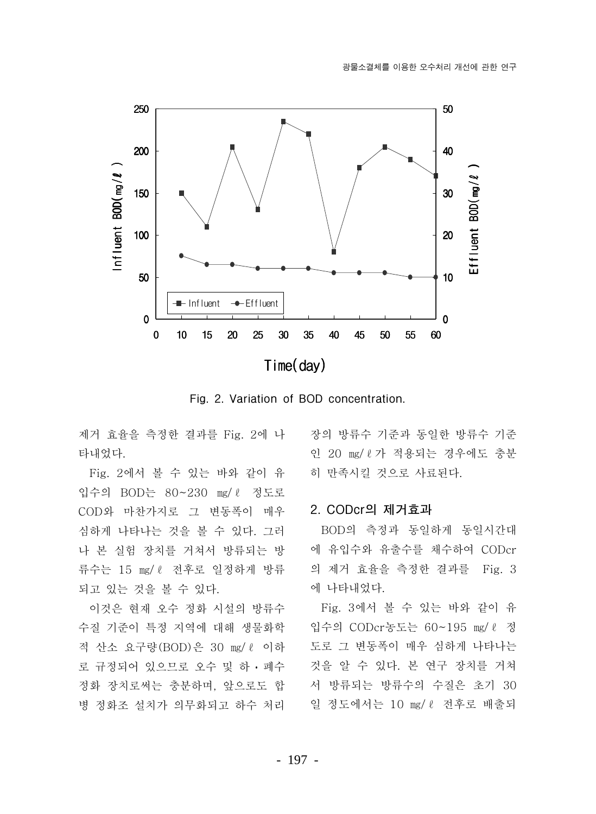

Fig. 2. Variation of BOD concentration.

제거 효율을 측정한 결과를 Fig. 2에 나 타내었다.

Fig. 2에서 볼 수 있는 바와 같이 유 입수의 BOD는 80∼230 mg/ℓ 정도로 COD와 마찬가지로 그 변동폭이 매우 심하게 나타나는 것을 볼 수 있다. 그러 나 본 실험 장치를 거쳐서 방류되는 방 류수는 15 mg/ l 전후로 일정하게 방류 되고 있는 것을 볼 수 있다.

이것은 현재 오수 정화 시설의 방류수 수질 기준이 특정 지역에 대해 생물화학 적 산소 요구량(BOD)은 30 mg/ l 이하 로 규정되어 있으므로 오수 및 하 · 폐수 정화 장치로써는 충분하며, 앞으로도 합 병 정화조 설치가 의무화되고 하수 처리

장의 방류수 기준과 동일한 방류수 기준 인 20 mg/ l 가 적용되는 경우에도 충분 히 만족시킬 것으로 사료된다.

### 2. CODcr의 제거효과

BOD의 측정과 동일하게 동일시간대 에 유입수와 유출수를 채수하여 CODcr 의 제거 효율을 측정한 결과를 Fig. 3 에 나타내었다.

Fig. 3에서 볼 수 있는 바와 같이 유 입수의 CODcr농도는 60~195 mg/ ℓ 정 도로 그 변동폭이 매우 심하게 나타나는 것을 알 수 있다. 본 연구 장치를 거쳐 서 방류되는 방류수의 수질은 초기 30 일 정도에서는 10 mg/ℓ 전후로 배출되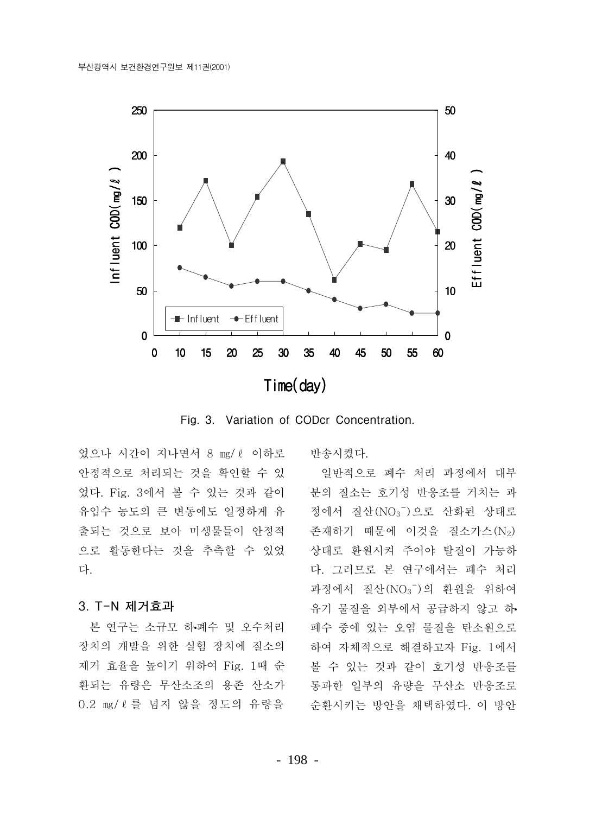

Fig. 3. Variation of CODcr Concentration.

었으나 시간이 지나면서 8 mg/ l 이하로 안정적으로 처리되는 것을 확인할 수 있 었다. Fig. 3에서 볼 수 있는 것과 같이 유입수 농도의 큰 변동에도 일정하게 유 출되는 것으로 보아 미생물들이 안정적 으로 활동한다는 것을 추측할 수 있었 다.

#### 3. T-N 제거효과

본 연구는 소규모 하폐수 및 오수처리 장치의 개발을 위한 실험 장치에 질소의 제거 효율을 높이기 위하여 Fig. 1때 순 환되는 유량은 무산소조의 용존 산소가 0.2 mg/ l 를 넘지 않을 정도의 유량을 반송시켰다.

일반적으로 폐수 처리 과정에서 대부 분의 질소는 호기성 반응조를 거치는 과 정에서 질산(NO3 )으로 산화된 상태로 존재하기 때문에 이것을 질소가스(N2) 상태로 환원시켜 주어야 탈질이 가능하 다. 그러므로 본 연구에서는 폐수 처리 과정에서 질산(NO3 )의 환원을 위하여 유기 물질을 외부에서 공급하지 않고 하. 폐수 중에 있는 오염 물질을 탄소원으로 하여 자체적으로 해결하고자 Fig. 1에서 볼 수 있는 것과 같이 호기성 반응조를 통과한 일부의 유량을 무산소 반응조로 수화시키는 방아을 채택하였다. 이 방아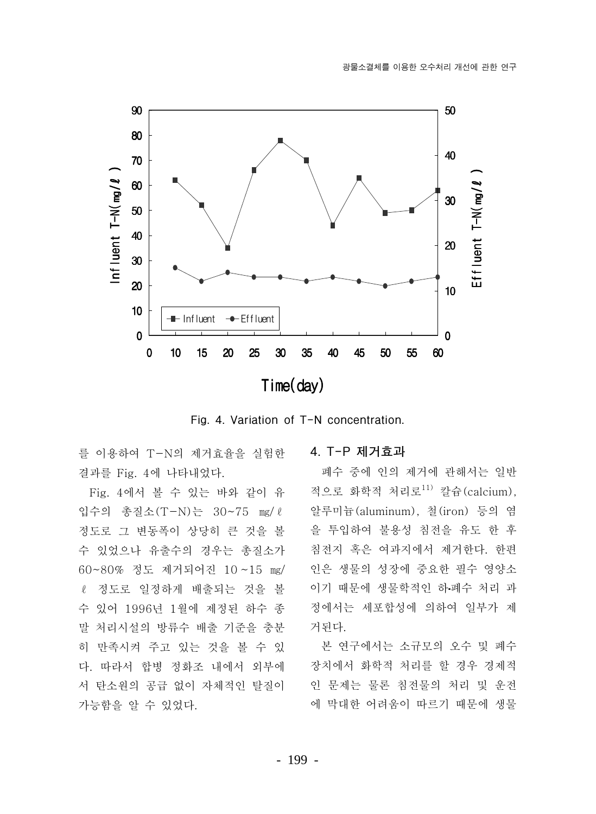

Fig. 4. Variation of T-N concentration.

를 이용하여 T-N의 제거효율을 실험한 결과를 Fig. 4에 나타내었다.

Fig. 4에서 볼 수 있는 바와 같이 유 입수의 총질소(T-N)는 30~75 mg/l 정도로 그 변동폭이 상당히 큰 것을 볼 수 있었으나 유출수의 경우는 총질소가 60~80% 정도 제거되어진 10~15 mg/ ℓ 정도로 일정하게 배출되는 것을 볼 수 있어 1996년 1월에 제정된 하수 종 말 처리시설의 방류수 배출 기준을 충분 히 만족시켜 주고 있는 것을 볼 수 있 다. 따라서 합병 정화조 내에서 외부에 서 탄소워의 공급 없이 자체적인 탈질이 가능함을 알 수 있었다.

#### 4. T-P 제거효과

폐수 중에 인의 제거에 관해서는 일반 적으로 화학적 처리로<sup>11)</sup> 칼슘(calcium), 알루미늄(aluminum), 철(iron) 등의 염 을 투입하여 불용성 침전을 유도 한 후 침전지 혹은 여과지에서 제거한다. 한편 인은 생물의 성장에 중요한 필수 영양소 이기 때문에 생물학적인 하.폐수 처리 과 정에서는 세포함성에 의하여 일부가 제 거된다.

본 연구에서는 소규모의 오수 및 폐수 장치에서 화학적 처리를 할 경우 경제적 인 문제는 물론 침전물의 처리 및 운전 에 막대한 어려움이 따르기 때문에 생물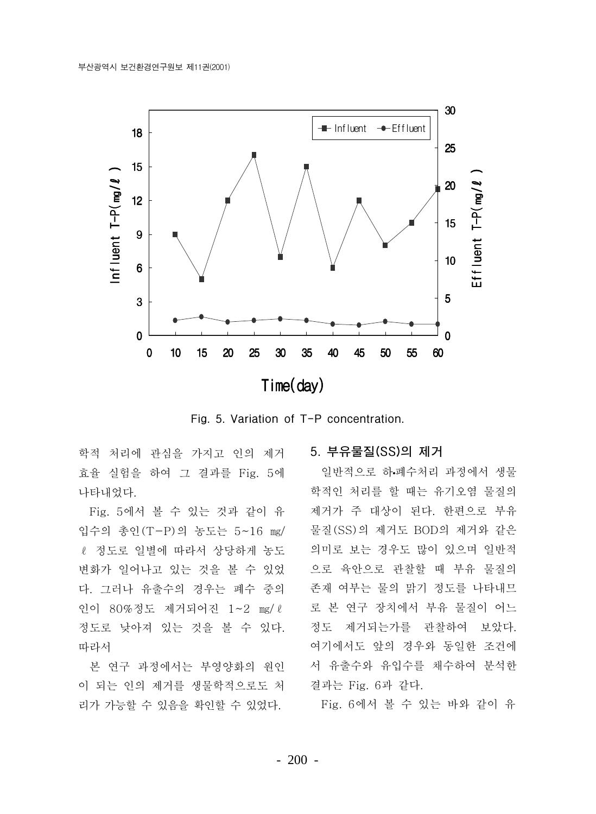

Fig. 5. Variation of T-P concentration.

학적 처리에 관심을 가지고 인의 제거 효율 실험을 하여 그 결과를 Fig. 5에 나타내었다.

Fig. 5에서 볼 수 있는 것과 같이 유 입수의 총인(T-P)의 농도는 5~16 mg/ ℓ 정도로 일별에 따라서 상당하게 농도 변화가 일어나고 있는 것을 볼 수 있었 다. 그러나 유출수의 경우는 폐수 중의 인이 80%정도 제거되어진 1~2 mg/l 정도로 낮아져 있는 것을 볼 수 있다. 따라서

본 연구 과정에서는 부영양화의 워인 이 되는 인의 제거를 생물학적으로도 처 리가 가능할 수 있음을 확인할 수 있었다.

#### 5. 부유물질(SS)의 제거

일반적으로 하 폐수처리 과정에서 생물 학적인 처리를 할 때는 유기오염 물질의 제거가 주 대상이 된다. 한편으로 부유 물질(SS)의 제거도 BOD의 제거와 같은 의미로 보는 경우도 많이 있으며 일반적 으로 육안으로 관찰할 때 부유 물질의 존재 여부는 물의 맑기 정도를 나타내므 로 본 연구 장치에서 부유 물질이 어느 정도 제거되는가를 관찰하여 보았다. 여기에서도 앞의 경우와 동일한 조건에 서 유출수와 유입수를 채수하여 분석한 결과는 Fig. 6과 같다.

Fig. 6에서 볼 수 있는 바와 같이 유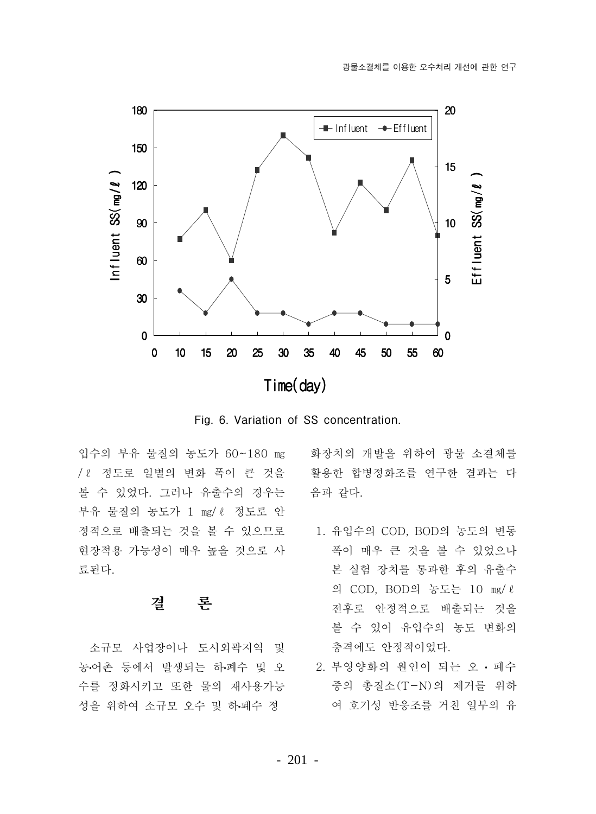

Fig. 6. Variation of SS concentration.

입수의 부유 물질의 농도가 60~180 mg / 8 정도로 일별의 변화 폭이 큰 것을 • 활용한 합병정화조를 연구한 결과는 다 볼 수 있었다. 그러나 유출수의 경우는 부유 물질의 농도가 1 mg/ l 정도로 안 정적으로 배출되는 것을 볼 수 있으므로 현장적용 가능성이 매우 높을 것으로 사 료된다.

#### 결 론

소규모 사업장이나 도시외곽지역 및 농어촌 등에서 발생되는 하폐수 및 오 수를 정화시키고 또한 물의 재사용가능 성을 위하여 소규모 오수 및 하폐수 정

화장치의 개발을 위하여 광물 소결체를 음과 같다.

- 1. 유입수의 COD, BOD의 농도의 변동 폭이 매우 큰 것을 볼 수 있었으나 본 실험 장치를 통과한 후의 유출수 의 COD, BOD의 농도는 10 mg/l 전후로 안정적으로 배출되는 것을 볼 수 있어 유입수의 농도 변화의 충격에도 안정적이었다.
	- 2. 부영양화의 워인이 되는 오 · 폐수 중의 총질소(T-N)의 제거를 위하 여 호기성 반응조를 거친 일부의 유